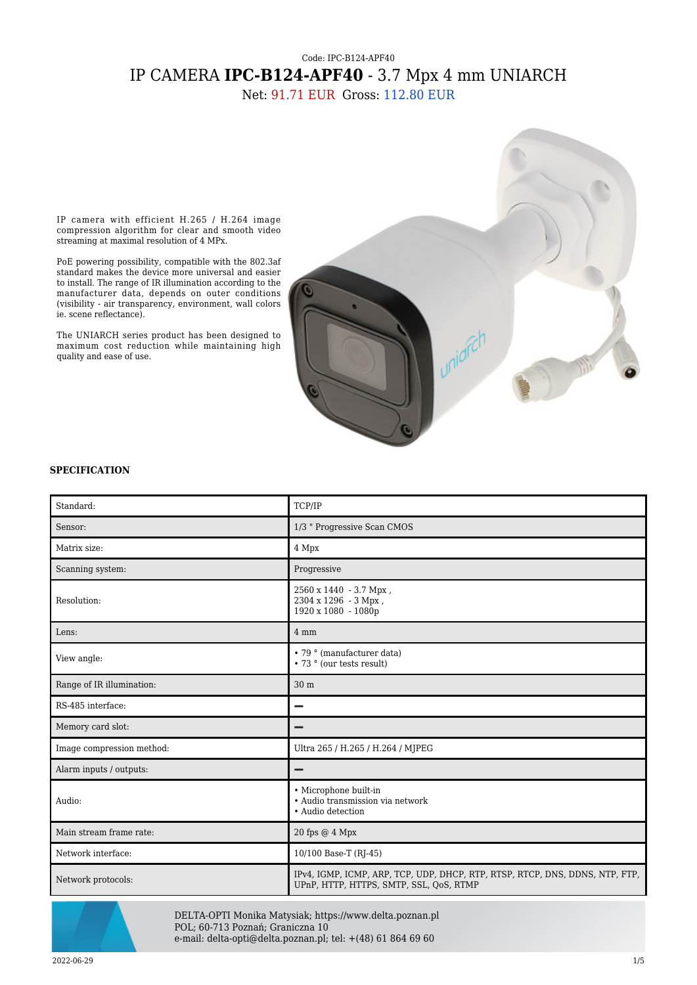## Code: IPC-B124-APF40 IP CAMERA **IPC-B124-APF40** - 3.7 Mpx 4 mm UNIARCH

Net: 91.71 EUR Gross: 112.80 EUR



IP camera with efficient H.265 / H.264 image compression algorithm for clear and smooth video streaming at maximal resolution of 4 MPx.

PoE powering possibility, compatible with the 802.3af standard makes the device more universal and easier to install. The range of IR illumination according to the manufacturer data, depends on outer conditions (visibility - air transparency, environment, wall colors ie. scene reflectance).

The UNIARCH series product has been designed to maximum cost reduction while maintaining high quality and ease of use.

## **SPECIFICATION**

| Standard:                 | TCP/IP                                                                                                                  |
|---------------------------|-------------------------------------------------------------------------------------------------------------------------|
| Sensor:                   | 1/3 " Progressive Scan CMOS                                                                                             |
| Matrix size:              | 4 Mpx                                                                                                                   |
| Scanning system:          | Progressive                                                                                                             |
| Resolution:               | 2560 x 1440 - 3.7 Mpx,<br>2304 x 1296 - 3 Mpx,<br>1920 x 1080 - 1080p                                                   |
| Lens:                     | 4 mm                                                                                                                    |
| View angle:               | • 79 ° (manufacturer data)<br>• 73 ° (our tests result)                                                                 |
| Range of IR illumination: | 30 m                                                                                                                    |
| RS-485 interface:         |                                                                                                                         |
| Memory card slot:         |                                                                                                                         |
| Image compression method: | Ultra 265 / H.265 / H.264 / MJPEG                                                                                       |
| Alarm inputs / outputs:   | -                                                                                                                       |
| Audio:                    | • Microphone built-in<br>• Audio transmission via network<br>• Audio detection                                          |
| Main stream frame rate:   | 20 fps @ 4 Mpx                                                                                                          |
| Network interface:        | 10/100 Base-T (RJ-45)                                                                                                   |
| Network protocols:        | IPv4, IGMP, ICMP, ARP, TCP, UDP, DHCP, RTP, RTSP, RTCP, DNS, DDNS, NTP, FTP,<br>UPnP, HTTP, HTTPS, SMTP, SSL, QoS, RTMP |



DELTA-OPTI Monika Matysiak; https://www.delta.poznan.pl POL; 60-713 Poznań; Graniczna 10 e-mail: delta-opti@delta.poznan.pl; tel: +(48) 61 864 69 60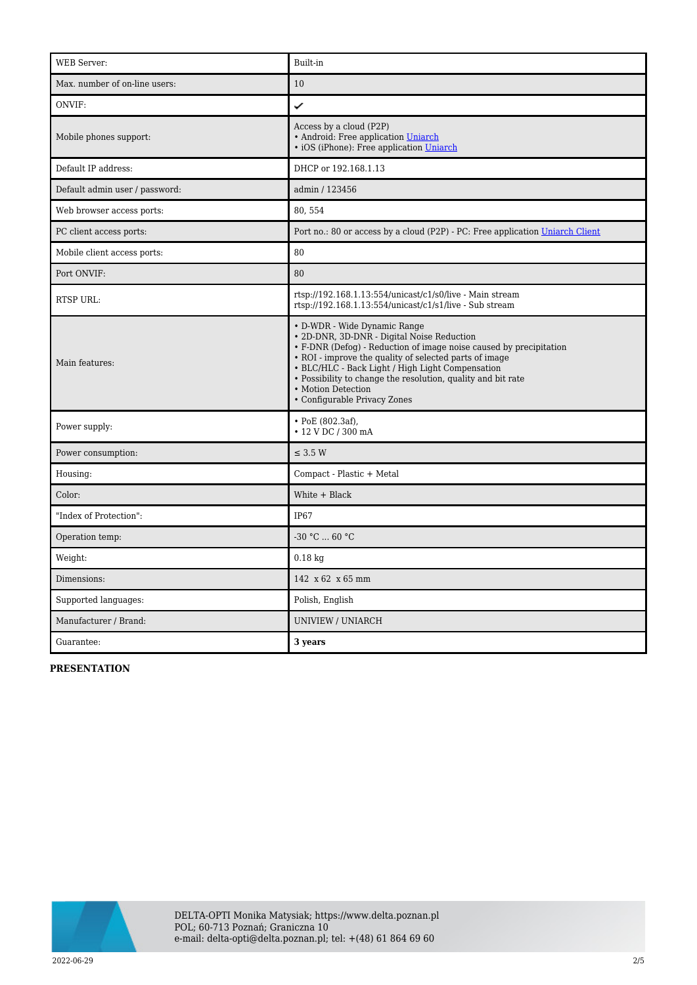| <b>WEB</b> Server:             | Built-in                                                                                                                                                                                                                                                                                                                                                                             |
|--------------------------------|--------------------------------------------------------------------------------------------------------------------------------------------------------------------------------------------------------------------------------------------------------------------------------------------------------------------------------------------------------------------------------------|
| Max. number of on-line users:  | 10                                                                                                                                                                                                                                                                                                                                                                                   |
| ONVIF:                         | ✓                                                                                                                                                                                                                                                                                                                                                                                    |
| Mobile phones support:         | Access by a cloud (P2P)<br>• Android: Free application Uniarch<br>· iOS (iPhone): Free application Uniarch                                                                                                                                                                                                                                                                           |
| Default IP address:            | DHCP or 192.168.1.13                                                                                                                                                                                                                                                                                                                                                                 |
| Default admin user / password: | admin / 123456                                                                                                                                                                                                                                                                                                                                                                       |
| Web browser access ports:      | 80,554                                                                                                                                                                                                                                                                                                                                                                               |
| PC client access ports:        | Port no.: 80 or access by a cloud (P2P) - PC: Free application Uniarch Client                                                                                                                                                                                                                                                                                                        |
| Mobile client access ports:    | 80                                                                                                                                                                                                                                                                                                                                                                                   |
| Port ONVIF:                    | 80                                                                                                                                                                                                                                                                                                                                                                                   |
| RTSP URL:                      | rtsp://192.168.1.13:554/unicast/c1/s0/live - Main stream<br>rtsp://192.168.1.13:554/unicast/c1/s1/live - Sub stream                                                                                                                                                                                                                                                                  |
| Main features:                 | • D-WDR - Wide Dynamic Range<br>• 2D-DNR, 3D-DNR - Digital Noise Reduction<br>• F-DNR (Defog) - Reduction of image noise caused by precipitation<br>• ROI - improve the quality of selected parts of image<br>• BLC/HLC - Back Light / High Light Compensation<br>• Possibility to change the resolution, quality and bit rate<br>• Motion Detection<br>• Configurable Privacy Zones |
| Power supply:                  | • PoE (802.3af),<br>• 12 V DC / 300 mA                                                                                                                                                                                                                                                                                                                                               |
| Power consumption:             | $\leq$ 3.5 W                                                                                                                                                                                                                                                                                                                                                                         |
| Housing:                       | Compact - Plastic + Metal                                                                                                                                                                                                                                                                                                                                                            |
| Color:                         | White + Black                                                                                                                                                                                                                                                                                                                                                                        |
| "Index of Protection":         | IP <sub>67</sub>                                                                                                                                                                                                                                                                                                                                                                     |
| Operation temp:                | -30 °C  60 °C                                                                                                                                                                                                                                                                                                                                                                        |
| Weight:                        | $0.18$ kg                                                                                                                                                                                                                                                                                                                                                                            |
| Dimensions:                    | 142 x 62 x 65 mm                                                                                                                                                                                                                                                                                                                                                                     |
| Supported languages:           | Polish, English                                                                                                                                                                                                                                                                                                                                                                      |
| Manufacturer / Brand:          | <b>UNIVIEW / UNIARCH</b>                                                                                                                                                                                                                                                                                                                                                             |
| Guarantee:                     | 3 years                                                                                                                                                                                                                                                                                                                                                                              |

**PRESENTATION**

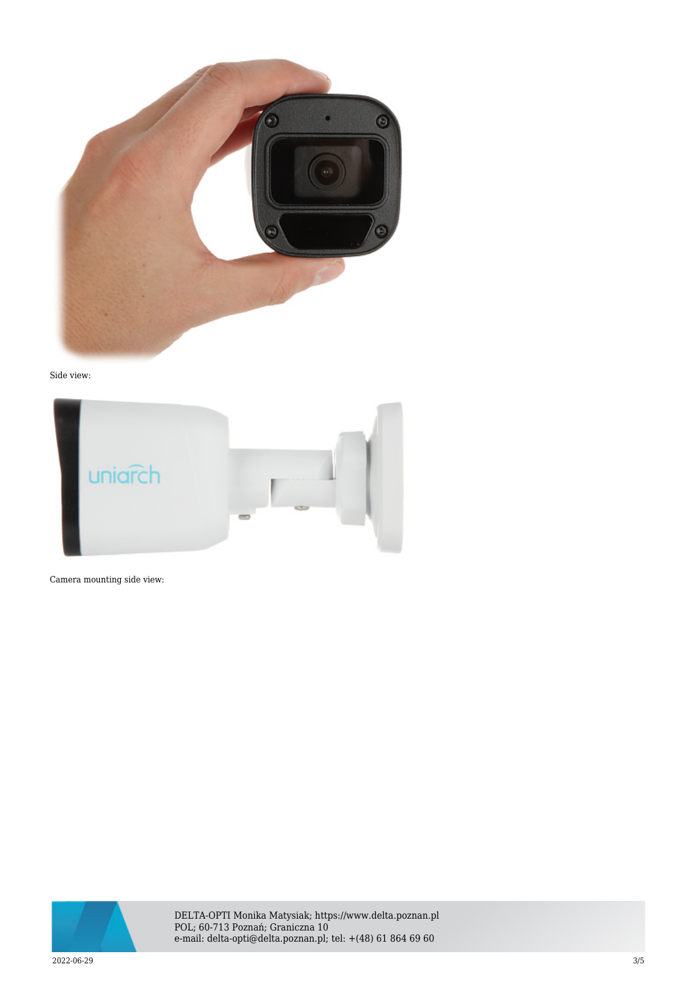

Side view:



Camera mounting side view:



DELTA-OPTI Monika Matysiak; https://www.delta.poznan.pl POL; 60-713 Poznań; Graniczna 10 e-mail: delta-opti@delta.poznan.pl; tel: +(48) 61 864 69 60

2022-06-29 3/5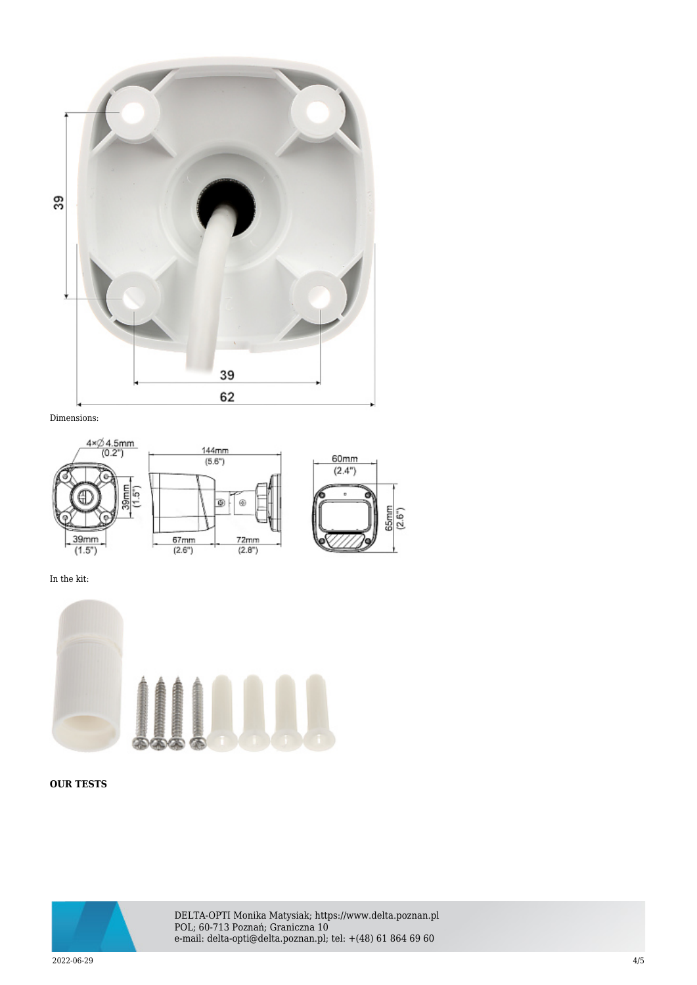

Dimensions:



In the kit:



**OUR TESTS**



DELTA-OPTI Monika Matysiak; https://www.delta.poznan.pl POL; 60-713 Poznań; Graniczna 10 e-mail: delta-opti@delta.poznan.pl; tel: +(48) 61 864 69 60

2022-06-29 4/5